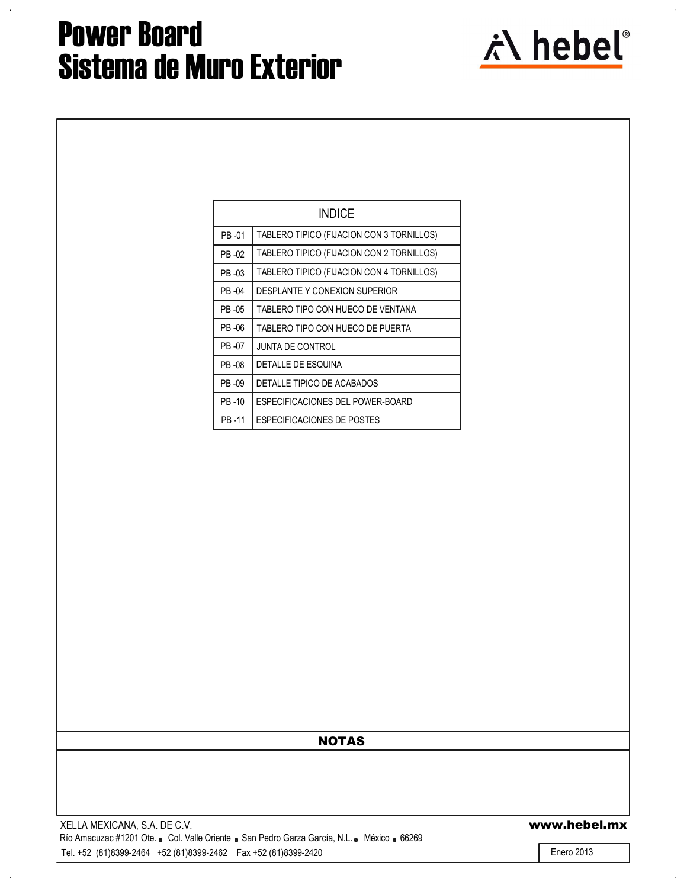

|        | INDICE                                    |
|--------|-------------------------------------------|
|        |                                           |
| PB-01  | TABLERO TIPICO (FIJACION CON 3 TORNILLOS) |
| PR -02 | TABLERO TIPICO (FIJACION CON 2 TORNILLOS) |
| PB-03  | TABLERO TIPICO (FIJACION CON 4 TORNILLOS) |
| PR -04 | DESPLANTE Y CONEXION SUPERIOR             |
| PR -05 | TABLERO TIPO CON HUECO DE VENTANA         |
| PR -06 | TABLERO TIPO CON HUECO DE PUERTA          |
| PB -07 | JUNTA DE CONTROL                          |
| PB-08  | <b>DETALLE DE ESQUINA</b>                 |
| PB-09  | DETALLE TIPICO DE ACABADOS                |
| PR-10  | ESPECIFICACIONES DEL POWER-BOARD          |
| PB-11  | <b>ESPECIFICACIONES DE POSTES</b>         |

| <b>NOTAS</b> |  |
|--------------|--|
|              |  |
|              |  |
|              |  |

Tel. +52 (81)8399-2464 +52 (81)8399-2462 Fax +52 (81)8399-2420

Enero 2013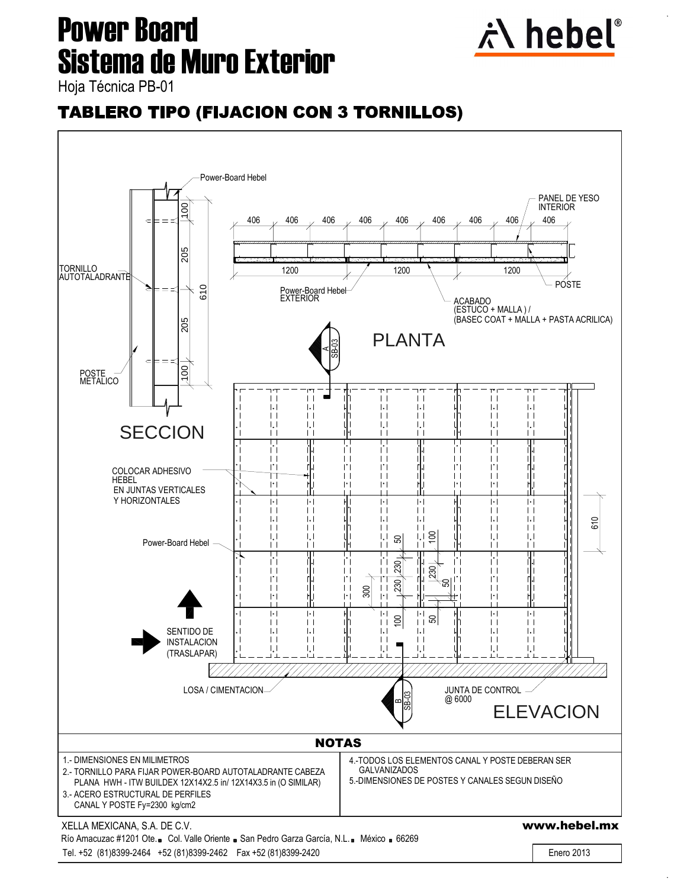

### **TABLERO TIPO (FIJACION CON 3 TORNILLOS)**

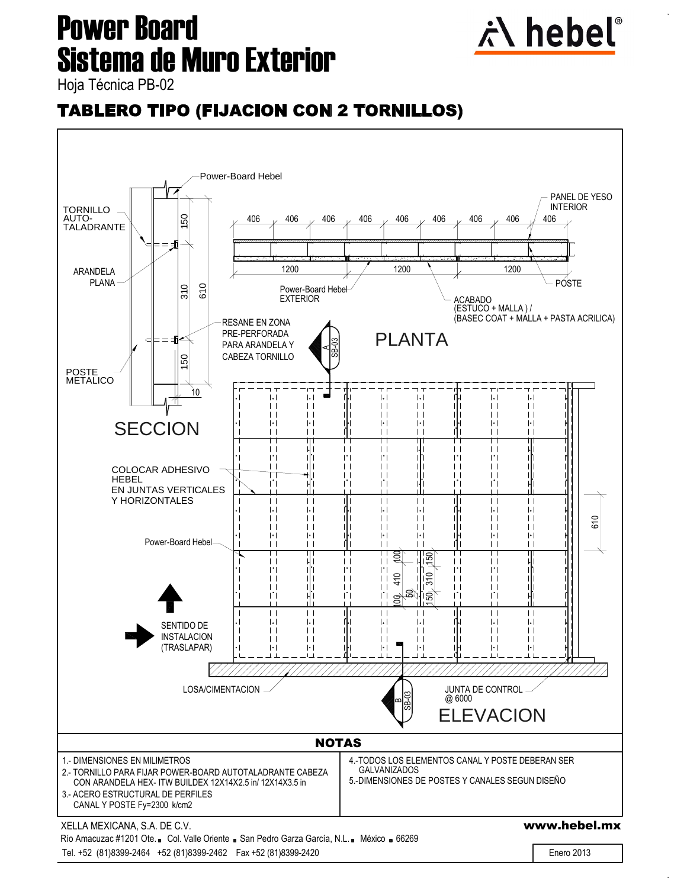

### **TABLERO TIPO (FIJACION CON 2 TORNILLOS)**

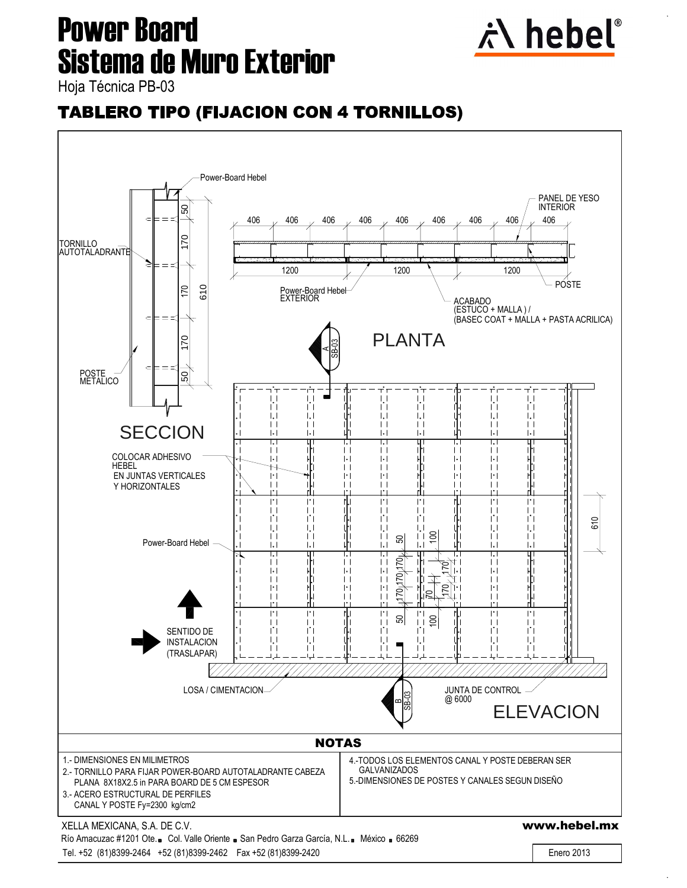

### **TABLERO TIPO (FIJACION CON 4 TORNILLOS)**

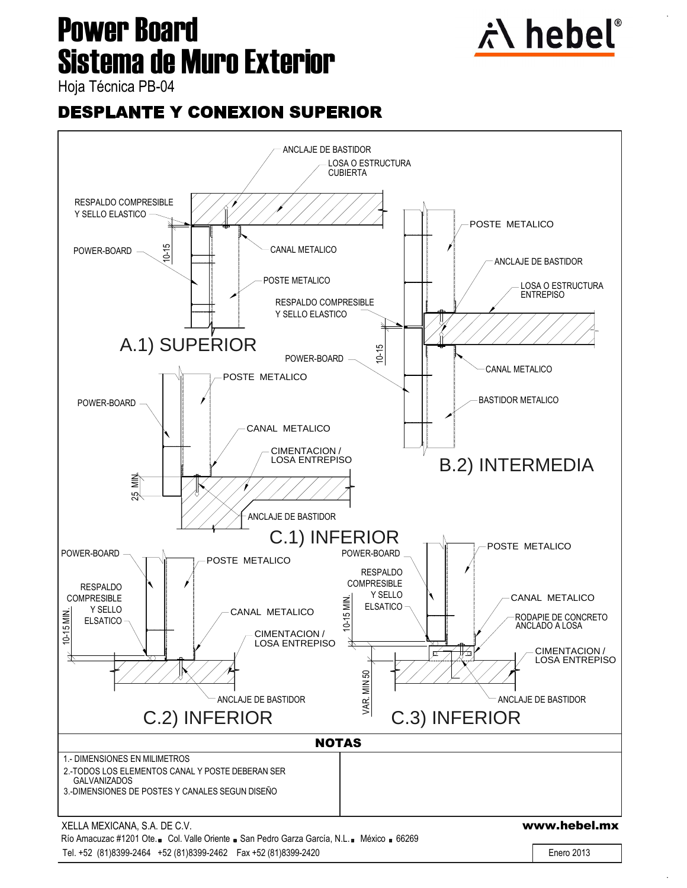

#### **DESPLANTE Y CONEXION SUPERIOR**

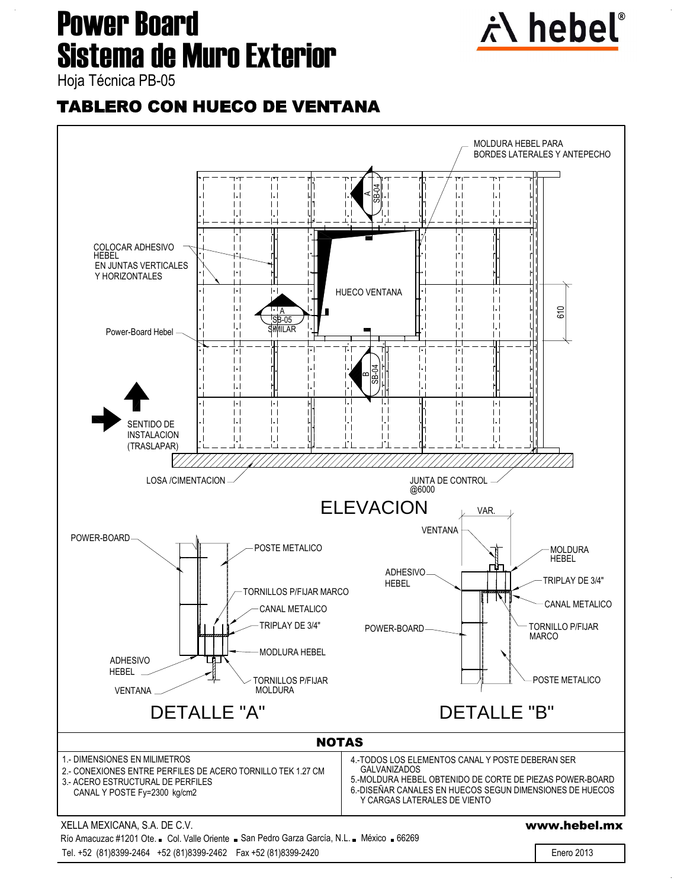

### **TABLERO CON HUECO DE VENTANA**

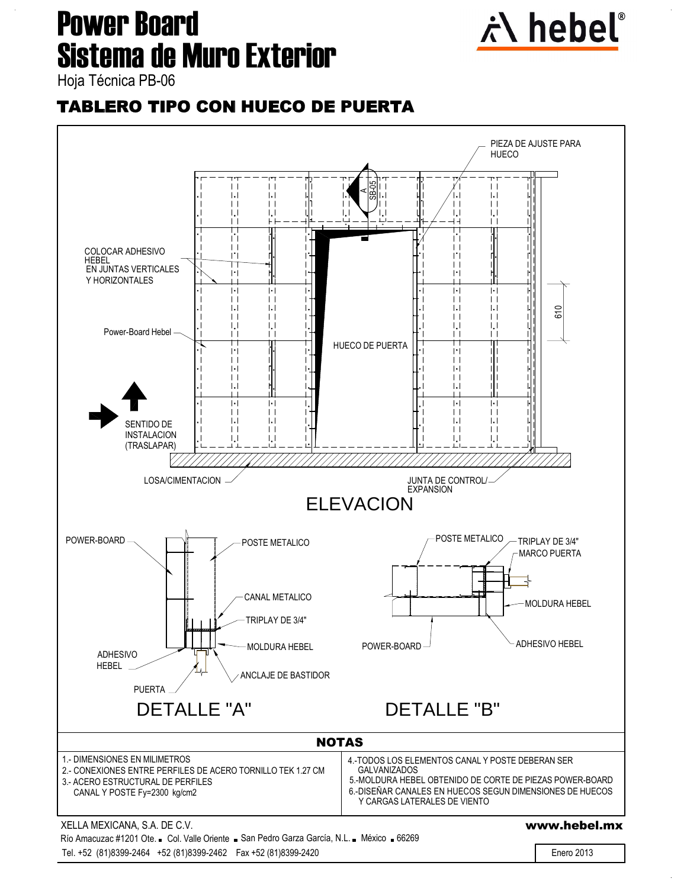

### **TABLERO TIPO CON HUECO DE PUERTA**

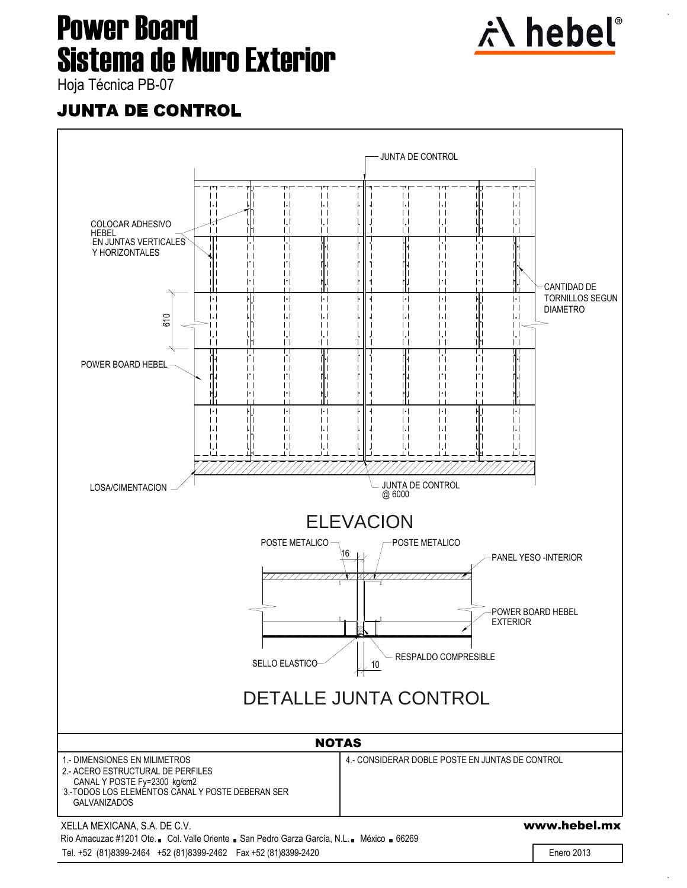

### **JUNTA DE CONTROL**

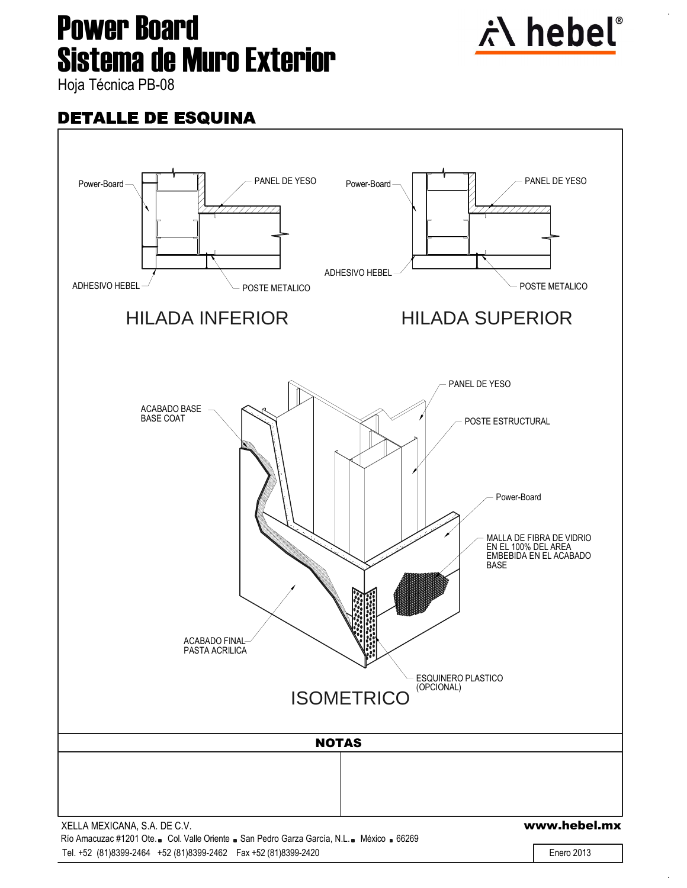# **Sistema de Muro Exterior<br>Naia Técnica PB-08 Power Board**



#### **DETALLE DE ESQUINA**



Tel. +52 (81)8399-2464 +52 (81)8399-2462 Fax +52 (81)8399-2420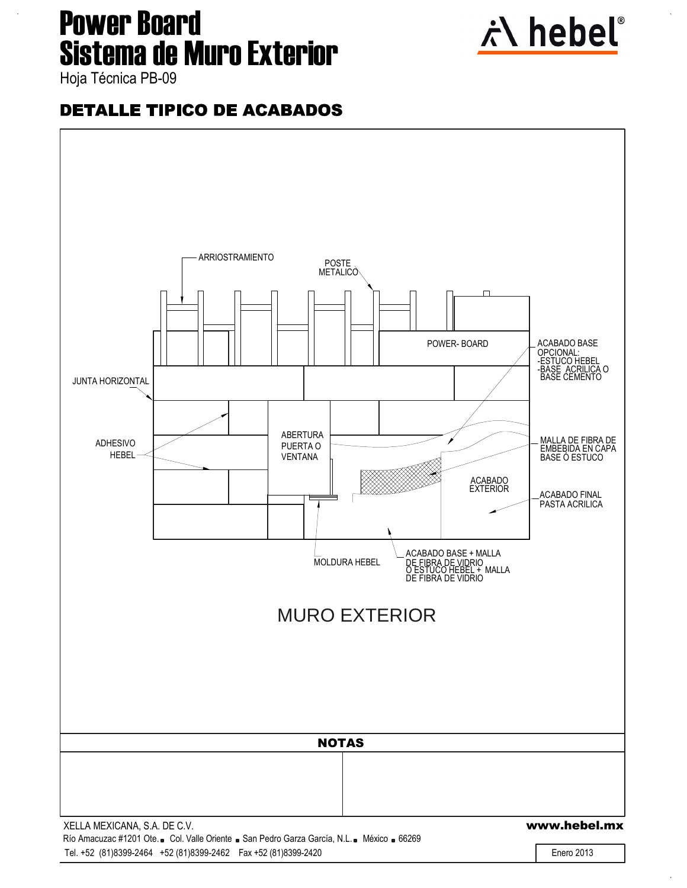

### **DETALLE TIPICO DE ACABADOS**

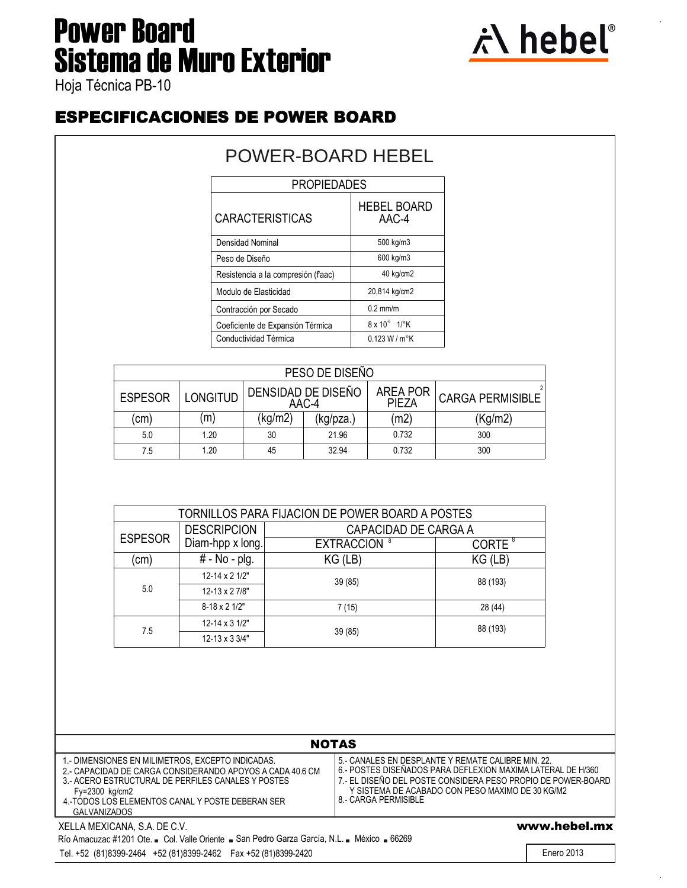### **Sistema de Muro Exterior<br>Naia Técnica PB-10 Power Board**



### **ESPECIFICACIONES DE POWER BOARD**

| <b>PROPIEDADES</b><br><b>HEBEL BOARD</b><br><b>CARACTERISTICAS</b><br>AAC-4<br>500 kg/m3<br>Densidad Nominal<br>600 kg/m3<br>Peso de Diseño<br>40 kg/cm2<br>Resistencia a la compresión (faac)<br>20,814 kg/cm2<br>Modulo de Elasticidad<br>$0.2$ mm/m<br>Contracción por Secado<br>$8 \times 10^{-6}$ 1/ $\degree$ K<br>Coeficiente de Expansión Térmica | POWER-BOARD HEBEL |  |  |  |
|-----------------------------------------------------------------------------------------------------------------------------------------------------------------------------------------------------------------------------------------------------------------------------------------------------------------------------------------------------------|-------------------|--|--|--|
|                                                                                                                                                                                                                                                                                                                                                           |                   |  |  |  |
|                                                                                                                                                                                                                                                                                                                                                           |                   |  |  |  |
|                                                                                                                                                                                                                                                                                                                                                           |                   |  |  |  |
|                                                                                                                                                                                                                                                                                                                                                           |                   |  |  |  |
|                                                                                                                                                                                                                                                                                                                                                           |                   |  |  |  |
|                                                                                                                                                                                                                                                                                                                                                           |                   |  |  |  |
|                                                                                                                                                                                                                                                                                                                                                           |                   |  |  |  |
|                                                                                                                                                                                                                                                                                                                                                           |                   |  |  |  |
| Conductividad Térmica<br>0.123 W/m <sup>o</sup> K                                                                                                                                                                                                                                                                                                         |                   |  |  |  |

|                |                 |        | PESO DE DISEÑO              |                                 |                         |
|----------------|-----------------|--------|-----------------------------|---------------------------------|-------------------------|
| <b>ESPESOR</b> | <b>LONGITUD</b> |        | DENSIDAD DE DISEÑO<br>AAC-4 | <b>AREA POR</b><br><b>PIEZA</b> | <b>CARGA PERMISIBLE</b> |
| (cm)           | (m)             | kg/m2) | (kg/pza.)                   | (m2)                            | (Kg/m2)                 |
| 5.0            | 1.20            | 30     | 21.96                       | 0.732                           | 300                     |
| 7.5            | 1.20            | 45     | 32.94                       | 0.732                           | 300                     |

|                |                                | TORNILLOS PARA FIJACION DE POWER BOARD A POSTES |                    |  |
|----------------|--------------------------------|-------------------------------------------------|--------------------|--|
|                | <b>DESCRIPCION</b>             | CAPACIDAD DE CARGA A                            |                    |  |
| <b>ESPESOR</b> | Diam-hpp x long.               | <b>EXTRACCION 8</b>                             | CORTE <sup>8</sup> |  |
| (cm)           | # - No - plg.                  | $KG$ (LB)                                       | $KG$ ( $LB$ )      |  |
|                | $12 - 14 \times 21/2$ "        | 39(85)                                          | 88 (193)           |  |
| 5.0            | $12 - 13 \times 27/8$ "        |                                                 |                    |  |
|                | $8-18 \times 21/2$ "           | 7 (15)                                          | 28 (44)            |  |
|                | $12 - 14 \times 3 \frac{1}{2}$ |                                                 | 88 (193)           |  |
| 7.5            | $12 - 13 \times 33/4$ "        | 39 (85)                                         |                    |  |

|                                                                                                                                                                                                                                                               | <b>NOTAS</b>                                                                                                                                                                                                                                                  |
|---------------------------------------------------------------------------------------------------------------------------------------------------------------------------------------------------------------------------------------------------------------|---------------------------------------------------------------------------------------------------------------------------------------------------------------------------------------------------------------------------------------------------------------|
| 1.- DIMENSIONES EN MILIMETROS, EXCEPTO INDICADAS.<br>2 - CAPACIDAD DE CARGA CONSIDERANDO APOYOS A CADA 40.6 CM<br>3.- ACERO ESTRUCTURAL DE PERFILES CANALES Y POSTES<br>$Fy=2300$ kg/cm2<br>4.-TODOS LOS ELEMENTOS CANAL Y POSTE DEBERAN SER<br>GAI VANIZADOS | 5.- CANALES EN DESPLANTE Y REMATE CALIBRE MIN. 22.<br>6.- POSTES DISEÑADOS PARA DEFLEXION MAXIMA LATERAL DE H/360<br>7.- EL DISEÑO DEL POSTE CONSIDERA PESO PROPIO DE POWER-BOARD<br>Y SISTEMA DE ACABADO CON PESO MAXIMO DE 30 KG/M2<br>8 - CARGA PERMISIBLE |
| XELLA MEXICANA, S.A. DE C.V.                                                                                                                                                                                                                                  | www.hebel.mx                                                                                                                                                                                                                                                  |
| Río Amacuzac #1201 Ote. Col. Valle Oriente . San Pedro Garza García, N.L. Néxico . 66269                                                                                                                                                                      |                                                                                                                                                                                                                                                               |

Tel. +52 (81)8399-2464 +52 (81)8399-2462 Fax +52 (81)8399-2420